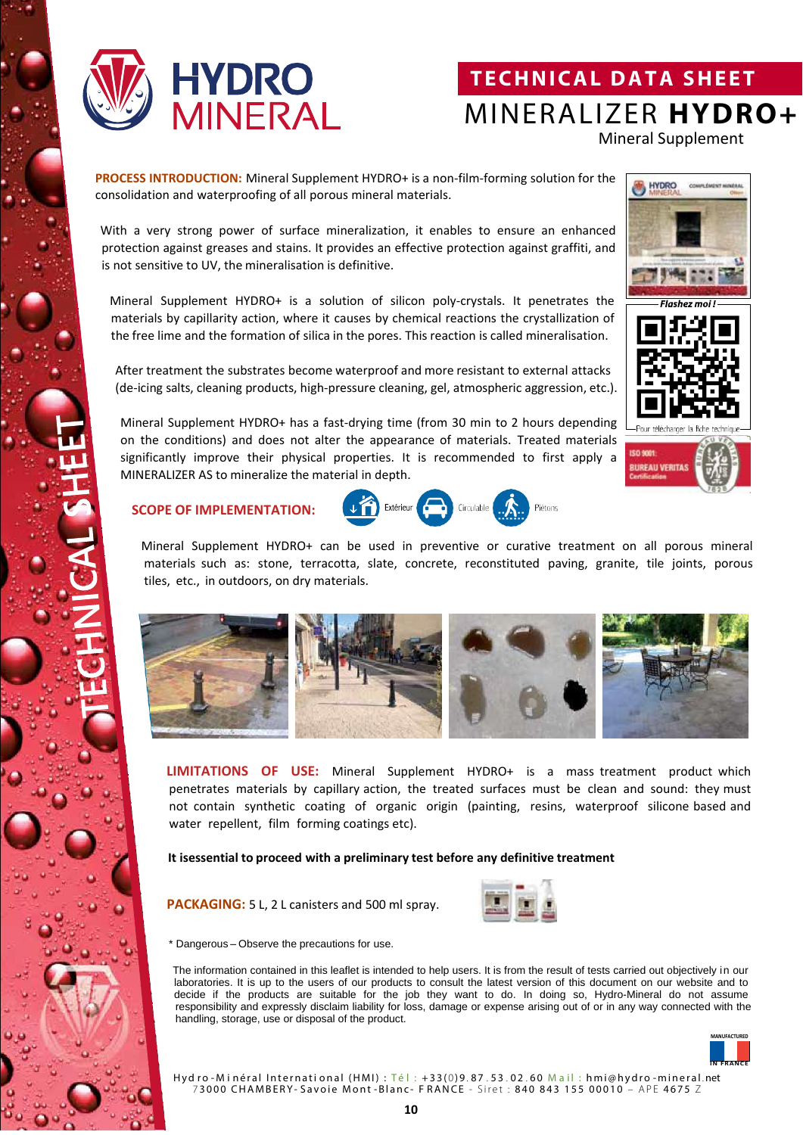

# **TECHNICAL DATA SHEET** MINERALIZER **HYDRO+**

Mineral Supplement

**HYDRO** 

**PROCESS INTRODUCTION:** Mineral Supplement HYDRO+ is a non-film-forming solution for the consolidation and waterproofing of all porous mineral materials.

With a very strong power of surface mineralization, it enables to ensure an enhanced protection against greases and stains. It provides an effective protection against graffiti, and is not sensitive to UV, the mineralisation is definitive.

Mineral Supplement HYDRO+ is a solution of silicon poly-crystals. It penetrates the materials by capillarity action, where it causes by chemical reactions the crystallization of the free lime and the formation of silica in the pores. This reaction is called mineralisation.

After treatment the substrates become waterproof and more resistant to external attacks (de-icing salts, cleaning products, high-pressure cleaning, gel, atmospheric aggression, etc.).

Mineral Supplement HYDRO+ has a fast-drying time (from 30 min to 2 hours depending on the conditions) and does not alter the appearance of materials. Treated materials significantly improve their physical properties. It is recommended to first apply a MINERALIZER AS to mineralize the material in depth.

### **SCOPE OF IMPLEMENTATION:**



Mineral Supplement HYDRO+ can be used in preventive or curative treatment on all porous mineral materials such as: stone, terracotta, slate, concrete, reconstituted paving, granite, tile joints, porous tiles, etc., in outdoors, on dry materials.



**LIMITATIONS OF USE:** Mineral Supplement HYDRO+ is a mass treatment product which penetrates materials by capillary action, the treated surfaces must be clean and sound: they must not contain synthetic coating of organic origin (painting, resins, waterproof silicone based and water repellent, film forming coatings etc).

**It isessential to proceed with a preliminary test before any definitive treatment** 

**PACKAGING:** 5 L, 2 L canisters and 500 ml spray.



\* Dangerous – Observe the precautions for use.

The information contained in this leaflet is intended to help users. It is from the result of tests carried out objectively in our laboratories. It is up to the users of our products to consult the latest version of this document on our website and to decide if the products are suitable for the job they want to do. In doing so, Hydro-Mineral do not assume responsibility and expressly disclaim liability for loss, damage or expense arising out of or in any way connected with the handling, storage, use or disposal of the product.



Hyd ro - Minéral International (HMI) : Té l : +33(0)9.87.53.02.60 Mail : hmi@hydro -mineral.net 7 3000 CHAMBERY- Savoie Mont -Blanc- F RANCE - Siret : 840 843 155 00010 – APE 4675 Z